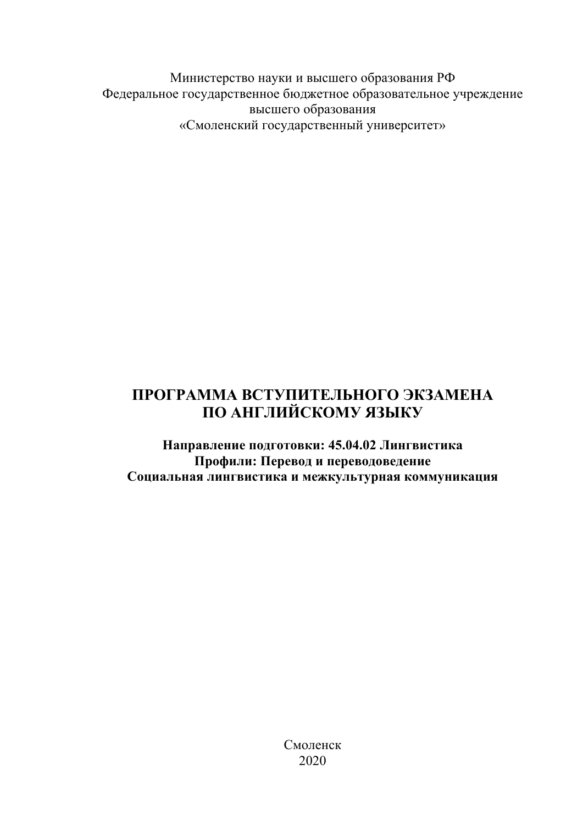Министерство науки и высшего образования РФ Федеральное государственное бюджетное образовательное учреждение высшего образования «Смоленский государственный университет»

# **ПРОГРАММА ВСТУПИТЕЛЬНОГО ЭКЗАМЕНА ПО АНГЛИЙСКОМУ ЯЗЫКУ**

**Направление подготовки: 45.04.02 Лингвистика Профили: Перевод и переводоведение Социальная лингвистика и межкультурная коммуникация**

> Смоленск 2020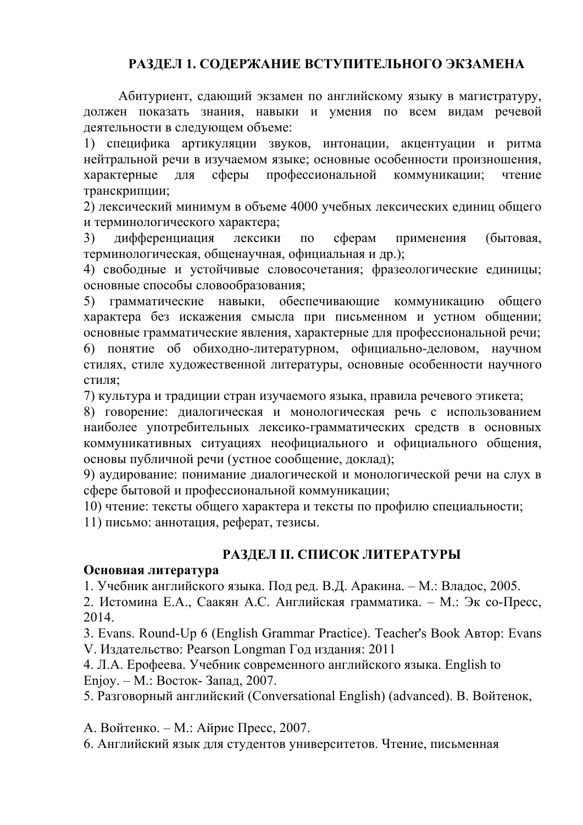## **РАЗДЕЛ 1. СОДЕРЖАНИЕ ВСТУПИТЕЛЬНОГО ЭКЗАМЕНА**

Абитуриент, сдающий экзамен по английскому языку в магистратуру, должен показать знания, навыки и умения по всем видам речевой деятельности в следующем объеме:

1) специфика артикуляции звуков, интонации, акцентуации и ритма нейтральной речи в изучаемом языке; основные особенности произношения, характерные для сферы профессиональной коммуникации; чтение транскрипции;

2) лексический минимум в объеме 4000 учебных лексических единиц общего и терминологического характера;

3) дифференциация лексики по сферам применения (бытовая, терминологическая, общенаучная, официальная и др.);

4) свободные и устойчивые словосочетания; фразеологические единицы; основные способы словообразования;

5) грамматические навыки, обеспечивающие коммуникацию общего характера без искажения смысла при письменном и устном общении; основные грамматические явления, характерные для профессиональной речи; 6) понятие об обиходно-литературном, официально-деловом, научном стилях, стиле художественной литературы, основные особенности научного стиля;

7) культура и традиции стран изучаемого языка, правила речевого этикета;

8) говорение: диалогическая и монологическая речь с использованием наиболее употребительных лексико-грамматических средств в основных коммуникативных ситуациях неофициального и официального общения, основы публичной речи (устное сообщение, доклад);

9) аудирование: понимание диалогической и монологической речи на слух в сфере бытовой и профессиональной коммуникации;

10) чтение: тексты общего характера и тексты по профилю специальности;

11) письмо: аннотация, реферат, тезисы.

## **РАЗДЕЛ II. СПИСОК ЛИТЕРАТУРЫ**

#### **Основная литература**

1. Учебник английского языка. Под ред. В.Д. Аракина. – М.: Владос, 2005.

2. Истомина Е.А., Саакян А.С. Английская грамматика. – М.: Эк со-Пресс, 2014.

3. Evans. Round-Up 6 (English Grammar Practice). Teacher's Book Автор: Evans V. Издательство: Pearson Longman Год издания: 2011

4. Л.А. Ерофеева. Учебник современного английского языка. English to Enjoy. – М.: Восток- Запад, 2007.

5. Разговорный английский (Conversational English) (advanced). В. Войтенок,

А. Войтенко. – М.: Айрис Пресс, 2007.

6. Английский язык для студентов университетов. Чтение, письменная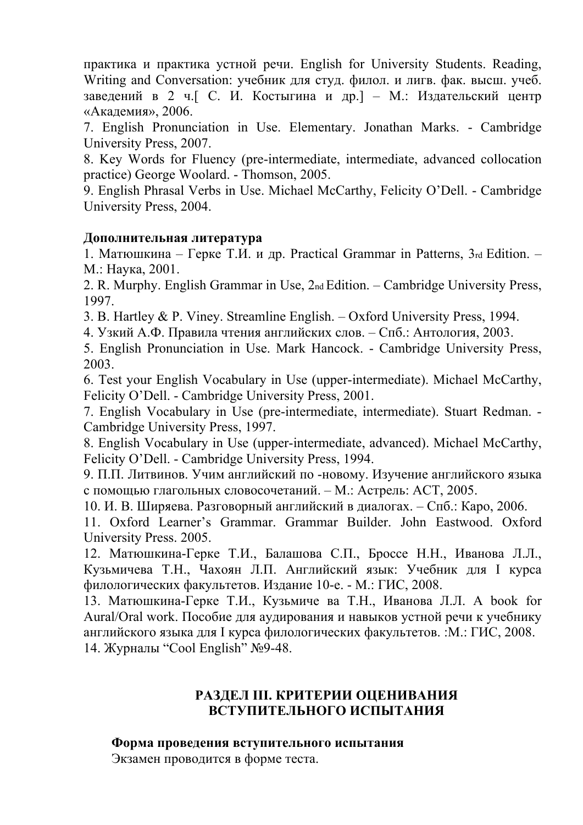практика и практика устной речи. English for University Students. Reading, Writing and Conversation: учебник для студ. филол. и лигв. фак. высш. учеб. заведений в 2 ч.[ С. И. Костыгина и др.] – М.: Издательский центр «Академия», 2006.

7. English Pronunciation in Use. Elementary. Jonathan Marks. - Cambridge University Press, 2007.

8. Key Words for Fluency (pre-intermediate, intermediate, advanced collocation practice) George Woolard. - Thomson, 2005.

9. English Phrasal Verbs in Use. Michael McCarthy, Felicity O'Dell. - Cambridge University Press, 2004.

## **Дополнительная литература**

1. Матюшкина – Герке Т.И. и др. Practical Grammar in Patterns, 3rd Edition. – М.: Наука, 2001.

2. R. Murphy. English Grammar in Use, 2nd Edition. – Cambridge University Press, 1997.

3. B. Hartley & P. Viney. Streamline English. – Oxford University Press, 1994.

4. Узкий А.Ф. Правила чтения английских слов. – Спб.: Антология, 2003.

5. English Pronunciation in Use. Mark Hancock. - Cambridge University Press, 2003.

6. Test your English Vocabulary in Use (upper-intermediate). Michael McCarthy, Felicity O'Dell. - Cambridge University Press, 2001.

7. English Vocabulary in Use (pre-intermediate, intermediate). Stuart Redman. - Cambridge University Press, 1997.

8. English Vocabulary in Use (upper-intermediate, advanced). Michael McCarthy, Felicity O'Dell. - Cambridge University Press, 1994.

9. П.П. Литвинов. Учим английский по -новому. Изучение английского языка с помощью глагольных словосочетаний. – М.: Астрель: АСТ, 2005.

10. И. В. Ширяева. Разговорный английский в диалогах. – Спб.: Каро, 2006.

11. Oxford Learner's Grammar. Grammar Builder. John Eastwood. Oxford University Press. 2005.

12. Матюшкина-Герке Т.И., Балашова С.П., Броссе Н.Н., Иванова Л.Л., Кузьмичева Т.Н., Чахоян Л.П. Английский язык: Учебник для I курса филологических факультетов. Издание 10-е. - М.: ГИС, 2008.

13. Матюшкина-Герке Т.И., Кузьмиче ва Т.Н., Иванова Л.Л. A book for Aural/Oral work. Пособие для аудирования и навыков устной речи к учебнику английского языка для I курса филологических факультетов. :М.: ГИС, 2008. 14. Журналы "Cool English" №9-48.

## **РАЗДЕЛ III. КРИТЕРИИ ОЦЕНИВАНИЯ ВСТУПИТЕЛЬНОГО ИСПЫТАНИЯ**

#### **Форма проведения вступительного испытания** Экзамен проводится в форме теста.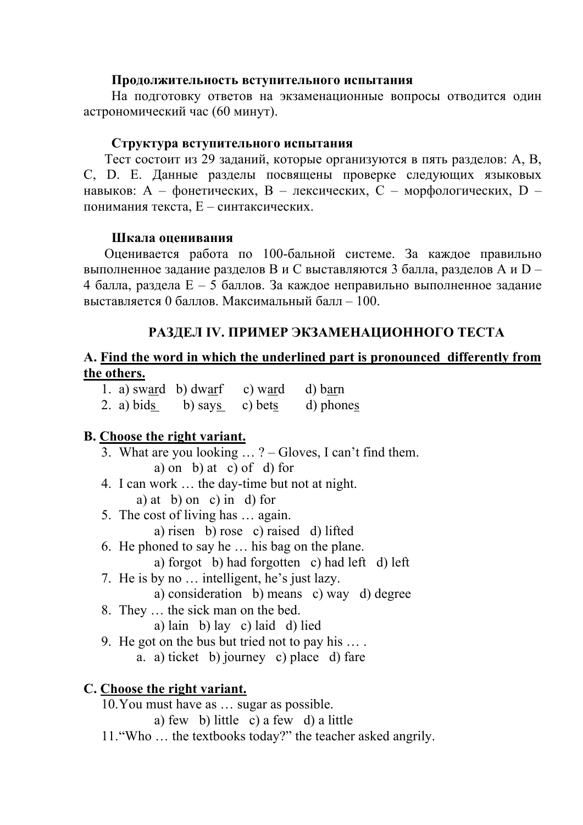#### **Продолжительность вступительного испытания**

На подготовку ответов на экзаменационные вопросы отводится один астрономический час (60 минут).

#### **Структура вступительного испытания**

Тест состоит из 29 заданий, которые организуются в пять разделов: A, B, C, D. E. Данные разделы посвящены проверке следующих языковых навыков: А – фонетических, В – лексических, С – морфологических, D – понимания текста, Е – синтаксических.

#### **Шкала оценивания**

Оценивается работа по 100-бальной системе. За каждое правильно выполненное задание разделов В и С выставляются 3 балла, разделов А и D – 4 балла, раздела Е – 5 баллов. За каждое неправильно выполненное задание выставляется 0 баллов. Максимальный балл – 100.

## **РАЗДЕЛ IV. ПРИМЕР ЭКЗАМЕНАЦИОННОГО ТЕСТА**

## **A. Find the word in which the underlined part is pronounced differently from the others.**

|            | 1. a) sward b) dwarf | c) ward d) barn |           |
|------------|----------------------|-----------------|-----------|
| 2. a) bids | b) says c) bets      |                 | d) phones |

## **B. Choose the right variant.**

- 3. What are you looking … ? Gloves, I can't find them. a) on b) at c) of d) for
- 4. I can work … the day-time but not at night.

a) at b) on c) in d) for

5. The cost of living has … again.

a) risen b) rose c) raised d) lifted

- 6. He phoned to say he … his bag on the plane.
	- a) forgot b) had forgotten c) had left d) left
- 7. He is by no … intelligent, he's just lazy.
	- a) consideration b) means c) way d) degree
- 8. They … the sick man on the bed.
	- a) lain b) lay c) laid d) lied
- 9. He got on the bus but tried not to pay his … .
	- a. a) ticket b) journey c) place d) fare

## **C. Choose the right variant.**

10.You must have as … sugar as possible.

a) few b) little c) a few d) a little

11."Who … the textbooks today?" the teacher asked angrily.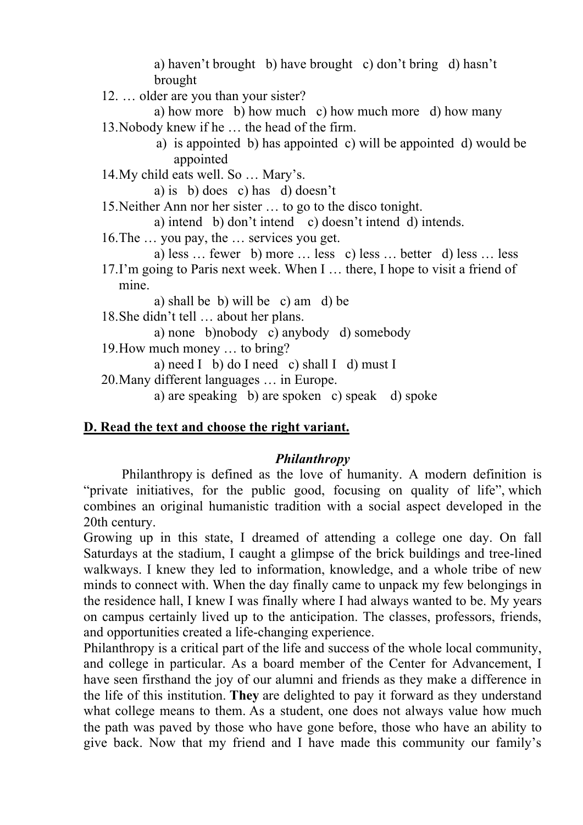a) haven't brought b) have brought c) don't bring d) hasn't brought

12. … older are you than your sister?

a) how more b) how much c) how much more d) how many 13.Nobody knew if he … the head of the firm.

> a) is appointed b) has appointed c) will be appointed d) would be appointed

14.My child eats well. So … Mary's.

a) is b) does c) has d) doesn't

15.Neither Ann nor her sister … to go to the disco tonight.

a) intend b) don't intend c) doesn't intend d) intends.

16.The … you pay, the … services you get.

a) less … fewer b) more … less c) less … better d) less … less 17.I'm going to Paris next week. When I … there, I hope to visit a friend of mine.

a) shall be b) will be c) am d) be

18.She didn't tell … about her plans.

a) none b)nobody c) anybody d) somebody

19.How much money … to bring?

a) need I b) do I need c) shall I d) must I

20.Many different languages … in Europe.

a) are speaking b) are spoken c) speak d) spoke

## **D. Read the text and choose the right variant.**

#### *Philanthropy*

Philanthropy is defined as the love of humanity. A modern definition is "private initiatives, for the public good, focusing on quality of life", which combines an original humanistic tradition with a social aspect developed in the 20th century.

Growing up in this state, I dreamed of attending a college one day. On fall Saturdays at the stadium, I caught a glimpse of the brick buildings and tree-lined walkways. I knew they led to information, knowledge, and a whole tribe of new minds to connect with. When the day finally came to unpack my few belongings in the residence hall, I knew I was finally where I had always wanted to be. My years on campus certainly lived up to the anticipation. The classes, professors, friends, and opportunities created a life-changing experience.

Philanthropy is a critical part of the life and success of the whole local community, and college in particular. As a board member of the Center for Advancement, I have seen firsthand the joy of our alumni and friends as they make a difference in the life of this institution. **They** are delighted to pay it forward as they understand what college means to them. As a student, one does not always value how much the path was paved by those who have gone before, those who have an ability to give back. Now that my friend and I have made this community our family's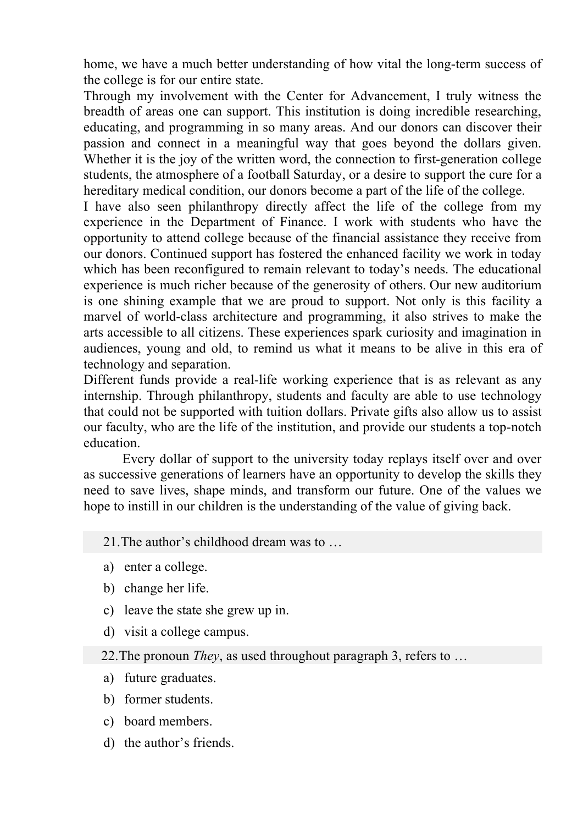home, we have a much better understanding of how vital the long-term success of the college is for our entire state.

Through my involvement with the Center for Advancement, I truly witness the breadth of areas one can support. This institution is doing incredible researching, educating, and programming in so many areas. And our donors can discover their passion and connect in a meaningful way that goes beyond the dollars given. Whether it is the joy of the written word, the connection to first-generation college students, the atmosphere of a football Saturday, or a desire to support the cure for a hereditary medical condition, our donors become a part of the life of the college.

I have also seen philanthropy directly affect the life of the college from my experience in the Department of Finance. I work with students who have the opportunity to attend college because of the financial assistance they receive from our donors. Continued support has fostered the enhanced facility we work in today which has been reconfigured to remain relevant to today's needs. The educational experience is much richer because of the generosity of others. Our new auditorium is one shining example that we are proud to support. Not only is this facility a marvel of world-class architecture and programming, it also strives to make the arts accessible to all citizens. These experiences spark curiosity and imagination in audiences, young and old, to remind us what it means to be alive in this era of technology and separation.

Different funds provide a real-life working experience that is as relevant as any internship. Through philanthropy, students and faculty are able to use technology that could not be supported with tuition dollars. Private gifts also allow us to assist our faculty, who are the life of the institution, and provide our students a top-notch education.

 Every dollar of support to the university today replays itself over and over as successive generations of learners have an opportunity to develop the skills they need to save lives, shape minds, and transform our future. One of the values we hope to instill in our children is the understanding of the value of giving back.

#### 21.The author's childhood dream was to …

- a) enter a college.
- b) change her life.
- c) leave the state she grew up in.
- d) visit a college campus.

22.The pronoun *They*, as used throughout paragraph 3, refers to …

- a) future graduates.
- b) former students.
- c) board members.
- d) the author's friends.